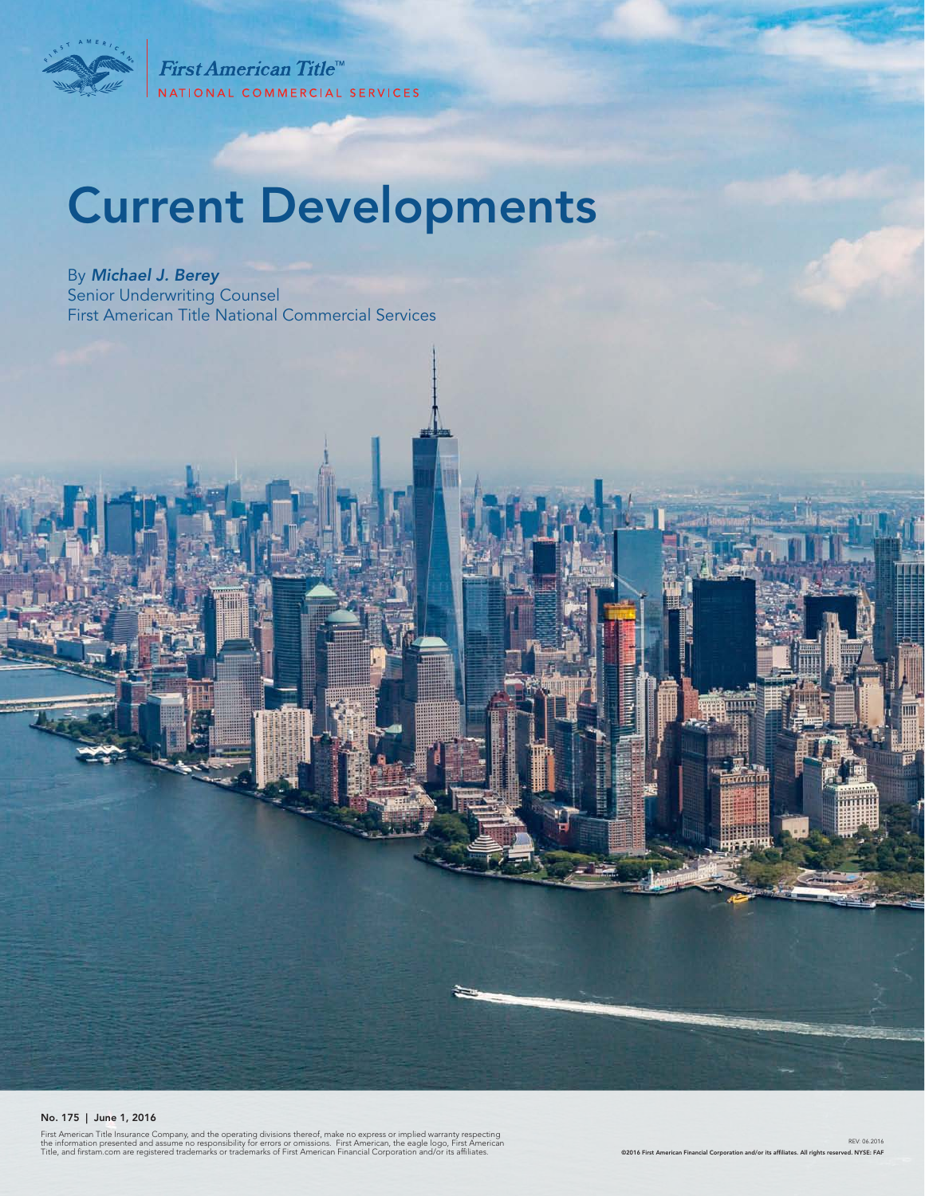

First American Title<sup>™</sup> NATIONAL COMMERCIAL SERVICES

# Current Developments

By *Michael J. Berey*  Senior Underwriting Counsel First American Title National Commercial Services

No. 175 | June 1, 2016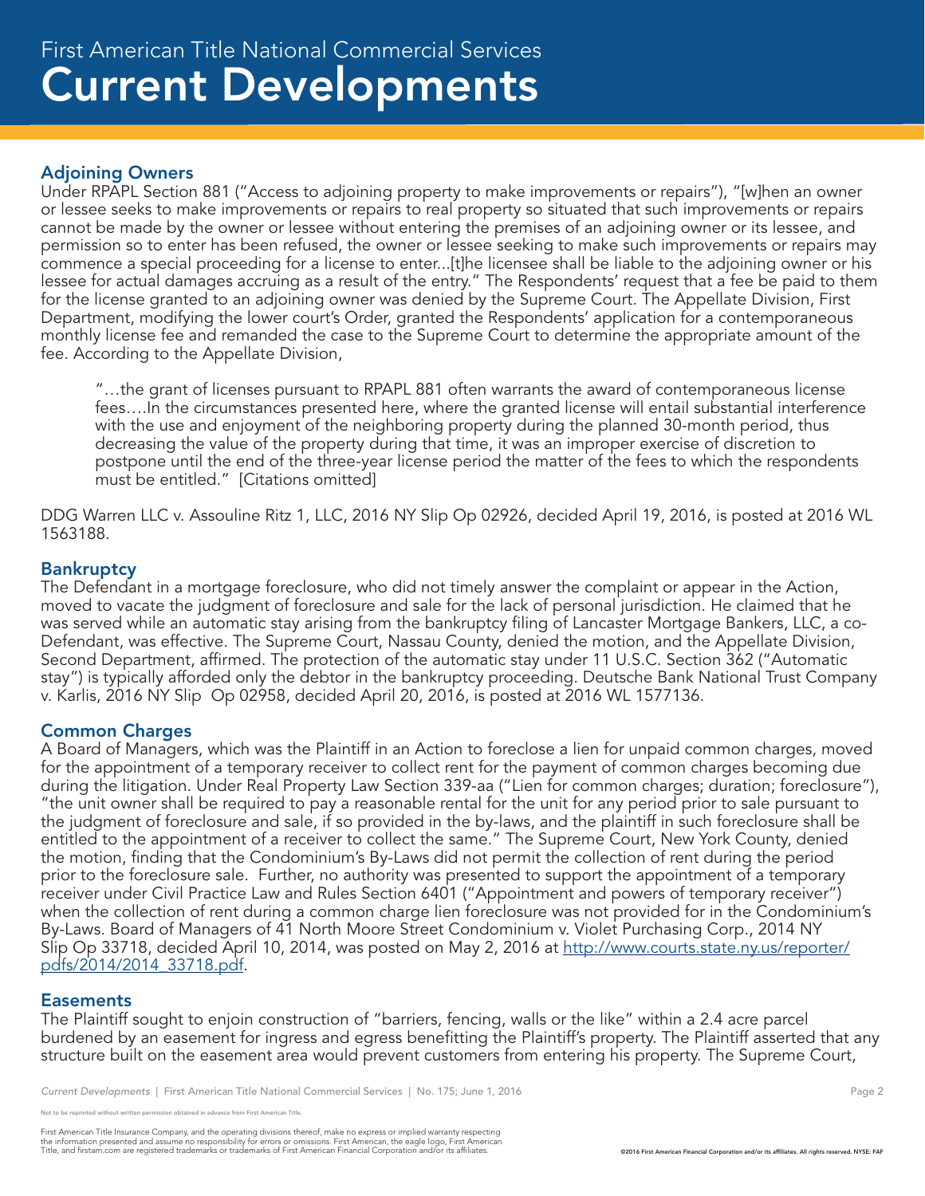# Adjoining Owners

Under RPAPL Section 881 ("Access to adjoining property to make improvements or repairs"), "[w]hen an owner or lessee seeks to make improvements or repairs to real property so situated that such improvements or repairs cannot be made by the owner or lessee without entering the premises of an adjoining owner or its lessee, and permission so to enter has been refused, the owner or lessee seeking to make such improvements or repairs may commence a special proceeding for a license to enter...[t]he licensee shall be liable to the adjoining owner or his lessee for actual damages accruing as a result of the entry." The Respondents' request that a fee be paid to them for the license granted to an adjoining owner was denied by the Supreme Court. The Appellate Division, First Department, modifying the lower court's Order, granted the Respondents' application for a contemporaneous monthly license fee and remanded the case to the Supreme Court to determine the appropriate amount of the fee. According to the Appellate Division,

"…the grant of licenses pursuant to RPAPL 881 often warrants the award of contemporaneous license fees….In the circumstances presented here, where the granted license will entail substantial interference with the use and enjoyment of the neighboring property during the planned 30-month period, thus decreasing the value of the property during that time, it was an improper exercise of discretion to postpone until the end of the three-year license period the matter of the fees to which the respondents must be entitled." [Citations omitted]

DDG Warren LLC v. Assouline Ritz 1, LLC, 2016 NY Slip Op 02926, decided April 19, 2016, is posted at 2016 WL 1563188.

# **Bankruptcy**

The Defendant in a mortgage foreclosure, who did not timely answer the complaint or appear in the Action, moved to vacate the judgment of foreclosure and sale for the lack of personal jurisdiction. He claimed that he was served while an automatic stay arising from the bankruptcy filing of Lancaster Mortgage Bankers, LLC, a co-Defendant, was effective. The Supreme Court, Nassau County, denied the motion, and the Appellate Division, Second Department, affirmed. The protection of the automatic stay under 11 U.S.C. Section 362 ("Automatic stay") is typically afforded only the debtor in the bankruptcy proceeding. Deutsche Bank National Trust Company v. Karlis, 2016 NY Slip Op 02958, decided April 20, 2016, is posted at 2016 WL 1577136.

# Common Charges

A Board of Managers, which was the Plaintiff in an Action to foreclose a lien for unpaid common charges, moved for the appointment of a temporary receiver to collect rent for the payment of common charges becoming due during the litigation. Under Real Property Law Section 339-aa ("Lien for common charges; duration; foreclosure"), "the unit owner shall be required to pay a reasonable rental for the unit for any period prior to sale pursuant to the judgment of foreclosure and sale, if so provided in the by-laws, and the plaintiff in such foreclosure shall be entitled to the appointment of a receiver to collect the same." The Supreme Court, New York County, denied the motion, finding that the Condominium's By-Laws did not permit the collection of rent during the period prior to the foreclosure sale. Further, no authority was presented to support the appointment of a temporary receiver under Civil Practice Law and Rules Section 6401 ("Appointment and powers of temporary receiver") when the collection of rent during a common charge lien foreclosure was not provided for in the Condominium's By-Laws. Board of Managers of 41 North Moore Street Condominium v. Violet Purchasing Corp., 2014 NY Slip Op 33718, decided April 10, 2014, was posted on May 2, 2016 at http://www.courts.state.ny.us/reporter/ pdfs/2014/2014\_33718.pdf.

#### **Easements**

The Plaintiff sought to enjoin construction of "barriers, fencing, walls or the like" within a 2.4 acre parcel burdened by an easement for ingress and egress benefitting the Plaintiff's property. The Plaintiff asserted that any structure built on the easement area would prevent customers from entering his property. The Supreme Court,

e reprinted without written permission obtained in advance from First American Title.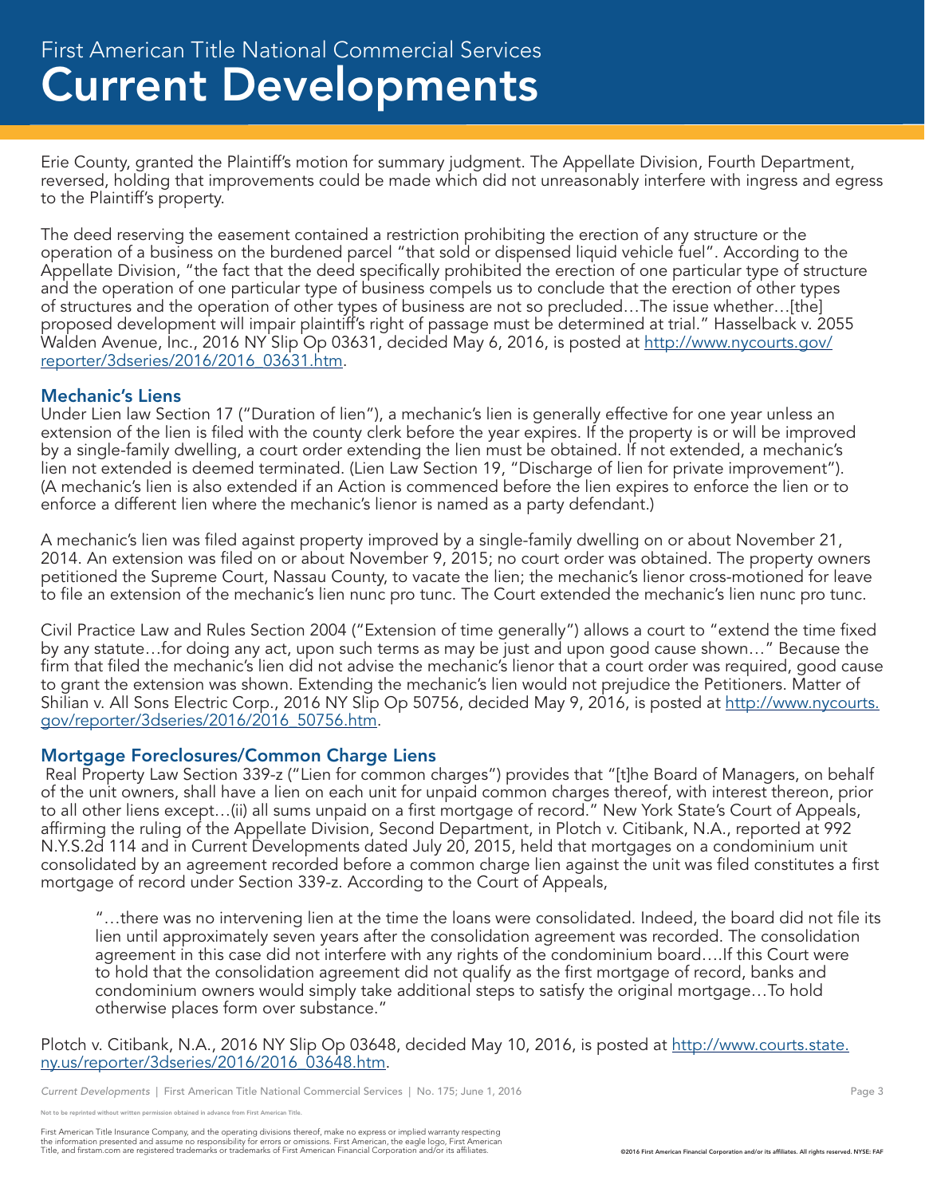Erie County, granted the Plaintiff's motion for summary judgment. The Appellate Division, Fourth Department, reversed, holding that improvements could be made which did not unreasonably interfere with ingress and egress to the Plaintiff's property.

The deed reserving the easement contained a restriction prohibiting the erection of any structure or the operation of a business on the burdened parcel "that sold or dispensed liquid vehicle fuel". According to the Appellate Division, "the fact that the deed specifically prohibited the erection of one particular type of structure and the operation of one particular type of business compels us to conclude that the erection of other types of structures and the operation of other types of business are not so precluded…The issue whether…[the] proposed development will impair plaintiff's right of passage must be determined at trial." Hasselback v. 2055 Walden Avenue, Inc., 2016 NY Slip Op 03631, decided May 6, 2016, is posted at http://www.nycourts.gov/ reporter/3dseries/2016/2016\_03631.htm.

#### Mechanic's Liens

Under Lien law Section 17 ("Duration of lien"), a mechanic's lien is generally effective for one year unless an extension of the lien is filed with the county clerk before the year expires. If the property is or will be improved by a single-family dwelling, a court order extending the lien must be obtained. If not extended, a mechanic's lien not extended is deemed terminated. (Lien Law Section 19, "Discharge of lien for private improvement"). (A mechanic's lien is also extended if an Action is commenced before the lien expires to enforce the lien or to enforce a different lien where the mechanic's lienor is named as a party defendant.)

A mechanic's lien was filed against property improved by a single-family dwelling on or about November 21, 2014. An extension was filed on or about November 9, 2015; no court order was obtained. The property owners petitioned the Supreme Court, Nassau County, to vacate the lien; the mechanic's lienor cross-motioned for leave to file an extension of the mechanic's lien nunc pro tunc. The Court extended the mechanic's lien nunc pro tunc.

Civil Practice Law and Rules Section 2004 ("Extension of time generally") allows a court to "extend the time fixed by any statute…for doing any act, upon such terms as may be just and upon good cause shown…" Because the firm that filed the mechanic's lien did not advise the mechanic's lienor that a court order was required, good cause to grant the extension was shown. Extending the mechanic's lien would not prejudice the Petitioners. Matter of Shilian v. All Sons Electric Corp., 2016 NY Slip Op 50756, decided May 9, 2016, is posted at http://www.nycourts. gov/reporter/3dseries/2016/2016\_50756.htm.

# Mortgage Foreclosures/Common Charge Liens

 Real Property Law Section 339-z ("Lien for common charges") provides that "[t]he Board of Managers, on behalf of the unit owners, shall have a lien on each unit for unpaid common charges thereof, with interest thereon, prior to all other liens except…(ii) all sums unpaid on a first mortgage of record." New York State's Court of Appeals, affirming the ruling of the Appellate Division, Second Department, in Plotch v. Citibank, N.A., reported at 992 N.Y.S.2d 114 and in Current Developments dated July 20, 2015, held that mortgages on a condominium unit consolidated by an agreement recorded before a common charge lien against the unit was filed constitutes a first mortgage of record under Section 339-z. According to the Court of Appeals,

"…there was no intervening lien at the time the loans were consolidated. Indeed, the board did not file its lien until approximately seven years after the consolidation agreement was recorded. The consolidation agreement in this case did not interfere with any rights of the condominium board….If this Court were to hold that the consolidation agreement did not qualify as the first mortgage of record, banks and condominium owners would simply take additional steps to satisfy the original mortgage…To hold otherwise places form over substance."

Plotch v. Citibank, N.A., 2016 NY Slip Op 03648, decided May 10, 2016, is posted at http://www.courts.state. ny.us/reporter/3dseries/2016/2016\_03648.htm.

*Current Developments* | First American Title National Commercial Services | No. 175; June 1, 2016 **Page 3** Page 3

e reprinted without written permission obtained in advance from First American Title.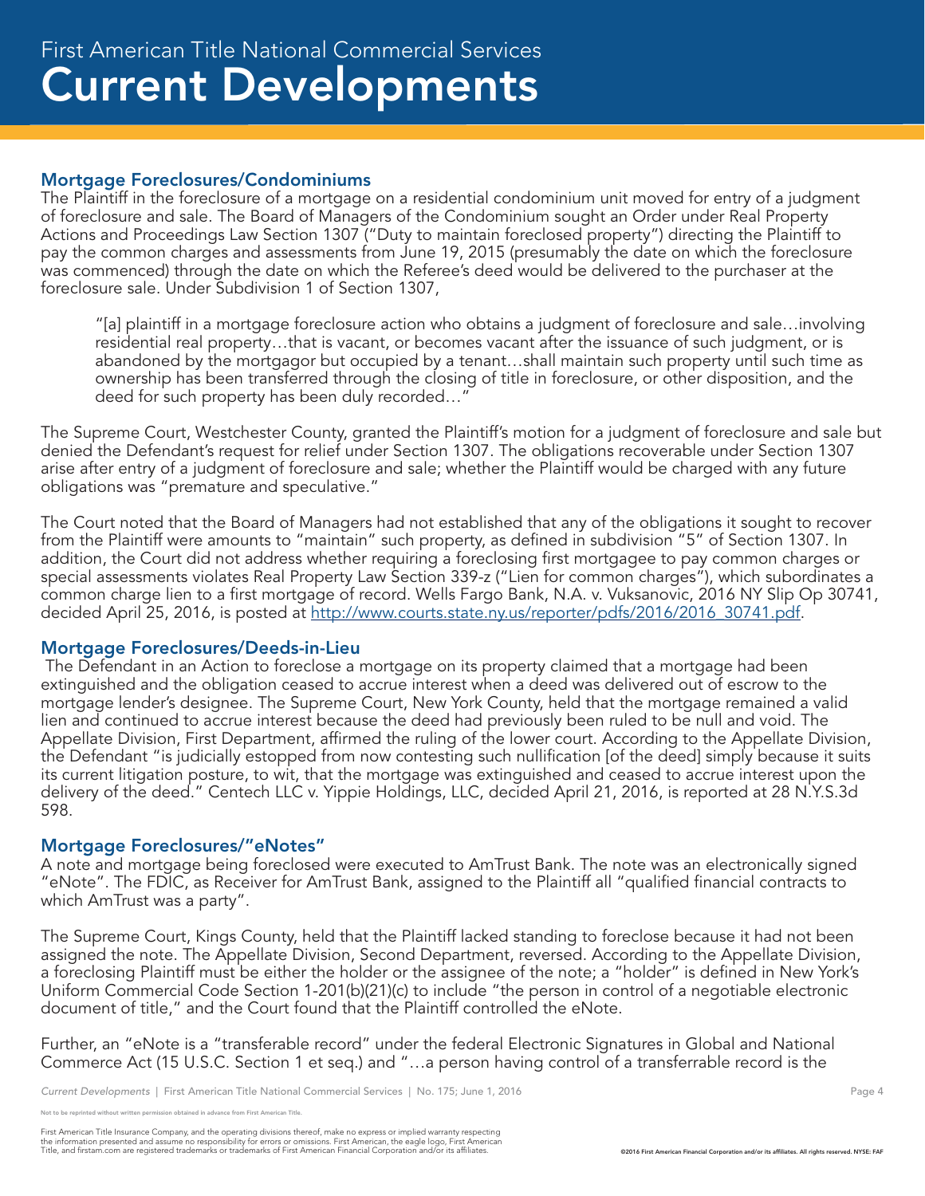#### Mortgage Foreclosures/Condominiums

The Plaintiff in the foreclosure of a mortgage on a residential condominium unit moved for entry of a judgment of foreclosure and sale. The Board of Managers of the Condominium sought an Order under Real Property Actions and Proceedings Law Section 1307 ("Duty to maintain foreclosed property") directing the Plaintiff to pay the common charges and assessments from June 19, 2015 (presumably the date on which the foreclosure was commenced) through the date on which the Referee's deed would be delivered to the purchaser at the foreclosure sale. Under Subdivision 1 of Section 1307,

"[a] plaintiff in a mortgage foreclosure action who obtains a judgment of foreclosure and sale…involving residential real property…that is vacant, or becomes vacant after the issuance of such judgment, or is abandoned by the mortgagor but occupied by a tenant…shall maintain such property until such time as ownership has been transferred through the closing of title in foreclosure, or other disposition, and the deed for such property has been duly recorded…"

The Supreme Court, Westchester County, granted the Plaintiff's motion for a judgment of foreclosure and sale but denied the Defendant's request for relief under Section 1307. The obligations recoverable under Section 1307 arise after entry of a judgment of foreclosure and sale; whether the Plaintiff would be charged with any future obligations was "premature and speculative."

The Court noted that the Board of Managers had not established that any of the obligations it sought to recover from the Plaintiff were amounts to "maintain" such property, as defined in subdivision "5" of Section 1307. In addition, the Court did not address whether requiring a foreclosing first mortgagee to pay common charges or special assessments violates Real Property Law Section 339-z ("Lien for common charges"), which subordinates a common charge lien to a first mortgage of record. Wells Fargo Bank, N.A. v. Vuksanovic, 2016 NY Slip Op 30741, decided April 25, 2016, is posted at http://www.courts.state.ny.us/reporter/pdfs/2016/2016\_30741.pdf.

# Mortgage Foreclosures/Deeds-in-Lieu

 The Defendant in an Action to foreclose a mortgage on its property claimed that a mortgage had been extinguished and the obligation ceased to accrue interest when a deed was delivered out of escrow to the mortgage lender's designee. The Supreme Court, New York County, held that the mortgage remained a valid lien and continued to accrue interest because the deed had previously been ruled to be null and void. The Appellate Division, First Department, affirmed the ruling of the lower court. According to the Appellate Division, the Defendant "is judicially estopped from now contesting such nullification [of the deed] simply because it suits its current litigation posture, to wit, that the mortgage was extinguished and ceased to accrue interest upon the delivery of the deed." Centech LLC v. Yippie Holdings, LLC, decided April 21, 2016, is reported at 28 N.Y.S.3d 598.

# Mortgage Foreclosures/"eNotes"

A note and mortgage being foreclosed were executed to AmTrust Bank. The note was an electronically signed "eNote". The FDIC, as Receiver for AmTrust Bank, assigned to the Plaintiff all "qualified financial contracts to which AmTrust was a party".

The Supreme Court, Kings County, held that the Plaintiff lacked standing to foreclose because it had not been assigned the note. The Appellate Division, Second Department, reversed. According to the Appellate Division, a foreclosing Plaintiff must be either the holder or the assignee of the note; a "holder" is defined in New York's Uniform Commercial Code Section 1-201(b)(21)(c) to include "the person in control of a negotiable electronic document of title," and the Court found that the Plaintiff controlled the eNote.

Further, an "eNote is a "transferable record" under the federal Electronic Signatures in Global and National Commerce Act (15 U.S.C. Section 1 et seq.) and "…a person having control of a transferrable record is the

e reprinted without written permission obtained in advance from First American Title.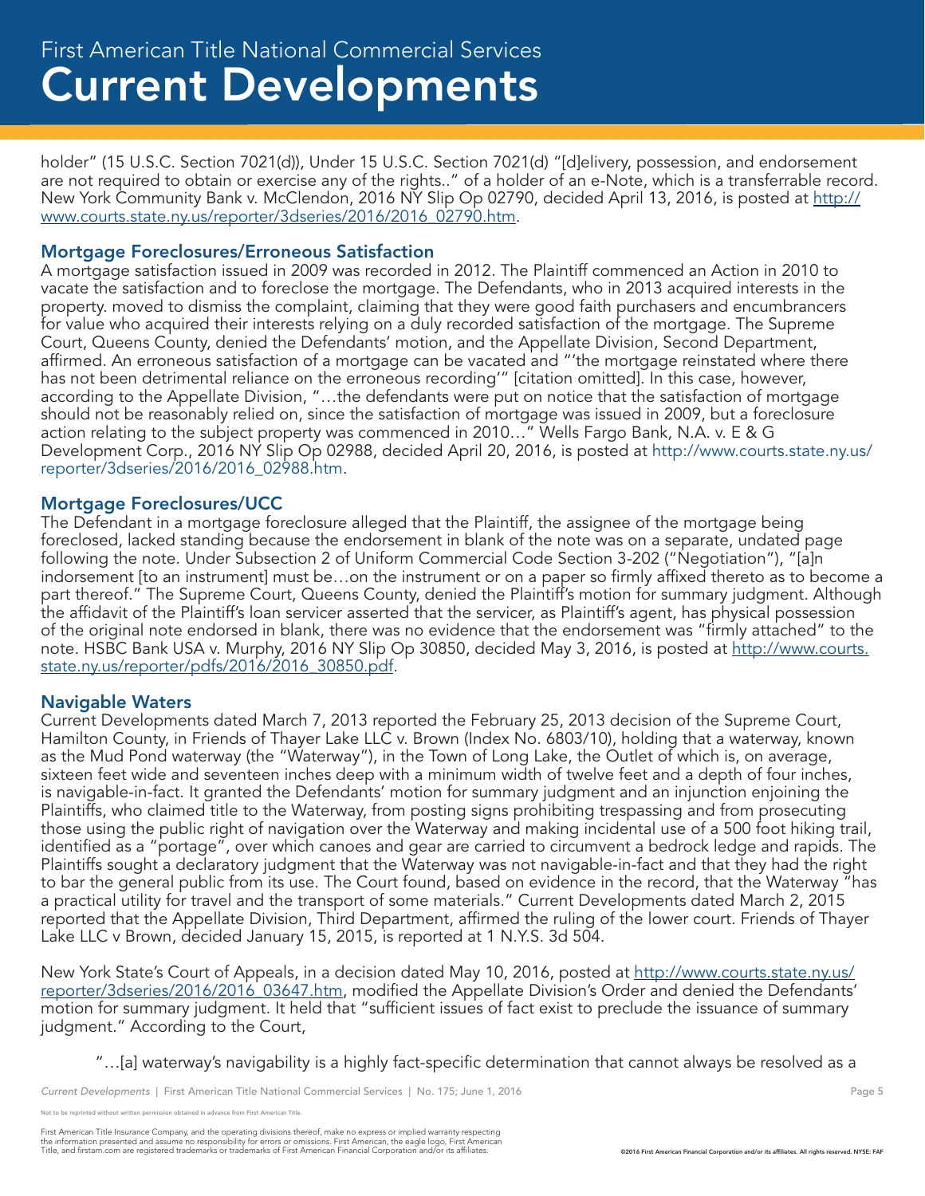holder" (15 U.S.C. Section 7021(d)), Under 15 U.S.C. Section 7021(d) "[d]elivery, possession, and endorsement are not required to obtain or exercise any of the rights.." of a holder of an e-Note, which is a transferrable record. New York Community Bank v. McClendon, 2016 NY Slip Op 02790, decided April 13, 2016, is posted at http:// www.courts.state.ny.us/reporter/3dseries/2016/2016\_02790.htm.

# Mortgage Foreclosures/Erroneous Satisfaction

A mortgage satisfaction issued in 2009 was recorded in 2012. The Plaintiff commenced an Action in 2010 to vacate the satisfaction and to foreclose the mortgage. The Defendants, who in 2013 acquired interests in the property. moved to dismiss the complaint, claiming that they were good faith purchasers and encumbrancers for value who acquired their interests relying on a duly recorded satisfaction of the mortgage. The Supreme Court, Queens County, denied the Defendants' motion, and the Appellate Division, Second Department, affirmed. An erroneous satisfaction of a mortgage can be vacated and "'the mortgage reinstated where there has not been detrimental reliance on the erroneous recording'" [citation omitted]. In this case, however, according to the Appellate Division, "…the defendants were put on notice that the satisfaction of mortgage should not be reasonably relied on, since the satisfaction of mortgage was issued in 2009, but a foreclosure action relating to the subject property was commenced in 2010…" Wells Fargo Bank, N.A. v. E & G Development Corp., 2016 NY Slip Op 02988, decided April 20, 2016, is posted at http://www.courts.state.ny.us/ reporter/3dseries/2016/2016\_02988.htm.

# Mortgage Foreclosures/UCC

The Defendant in a mortgage foreclosure alleged that the Plaintiff, the assignee of the mortgage being foreclosed, lacked standing because the endorsement in blank of the note was on a separate, undated page following the note. Under Subsection 2 of Uniform Commercial Code Section 3-202 ("Negotiation"), "[a]n indorsement [to an instrument] must be…on the instrument or on a paper so firmly affixed thereto as to become a part thereof." The Supreme Court, Queens County, denied the Plaintiff's motion for summary judgment. Although the affidavit of the Plaintiff's loan servicer asserted that the servicer, as Plaintiff's agent, has physical possession of the original note endorsed in blank, there was no evidence that the endorsement was "firmly attached" to the note. HSBC Bank USA v. Murphy, 2016 NY Slip Op 30850, decided May 3, 2016, is posted at http://www.courts. state.ny.us/reporter/pdfs/2016/2016\_30850.pdf.

# Navigable Waters

Current Developments dated March 7, 2013 reported the February 25, 2013 decision of the Supreme Court, Hamilton County, in Friends of Thayer Lake LLC v. Brown (Index No. 6803/10), holding that a waterway, known as the Mud Pond waterway (the "Waterway"), in the Town of Long Lake, the Outlet of which is, on average, sixteen feet wide and seventeen inches deep with a minimum width of twelve feet and a depth of four inches, is navigable-in-fact. It granted the Defendants' motion for summary judgment and an injunction enjoining the Plaintiffs, who claimed title to the Waterway, from posting signs prohibiting trespassing and from prosecuting those using the public right of navigation over the Waterway and making incidental use of a 500 foot hiking trail, identified as a "portage", over which canoes and gear are carried to circumvent a bedrock ledge and rapids. The Plaintiffs sought a declaratory judgment that the Waterway was not navigable-in-fact and that they had the right to bar the general public from its use. The Court found, based on evidence in the record, that the Waterway "has a practical utility for travel and the transport of some materials." Current Developments dated March 2, 2015 reported that the Appellate Division, Third Department, affirmed the ruling of the lower court. Friends of Thayer Lake LLC v Brown, decided January 15, 2015, is reported at 1 N.Y.S. 3d 504.

New York State's Court of Appeals, in a decision dated May 10, 2016, posted at http://www.courts.state.ny.us/ reporter/3dseries/2016/2016\_03647.htm, modified the Appellate Division's Order and denied the Defendants' motion for summary judgment. It held that "sufficient issues of fact exist to preclude the issuance of summary judgment." According to the Court,

"…[a] waterway's navigability is a highly fact-specific determination that cannot always be resolved as a

reprinted without written permission obtained in advance from First American Title.

First American Title Insurance Company, and the operating divisions thereof, make no express or implied warranty respecting<br>the information presented and assume no responsibility for errors or omissions. First American end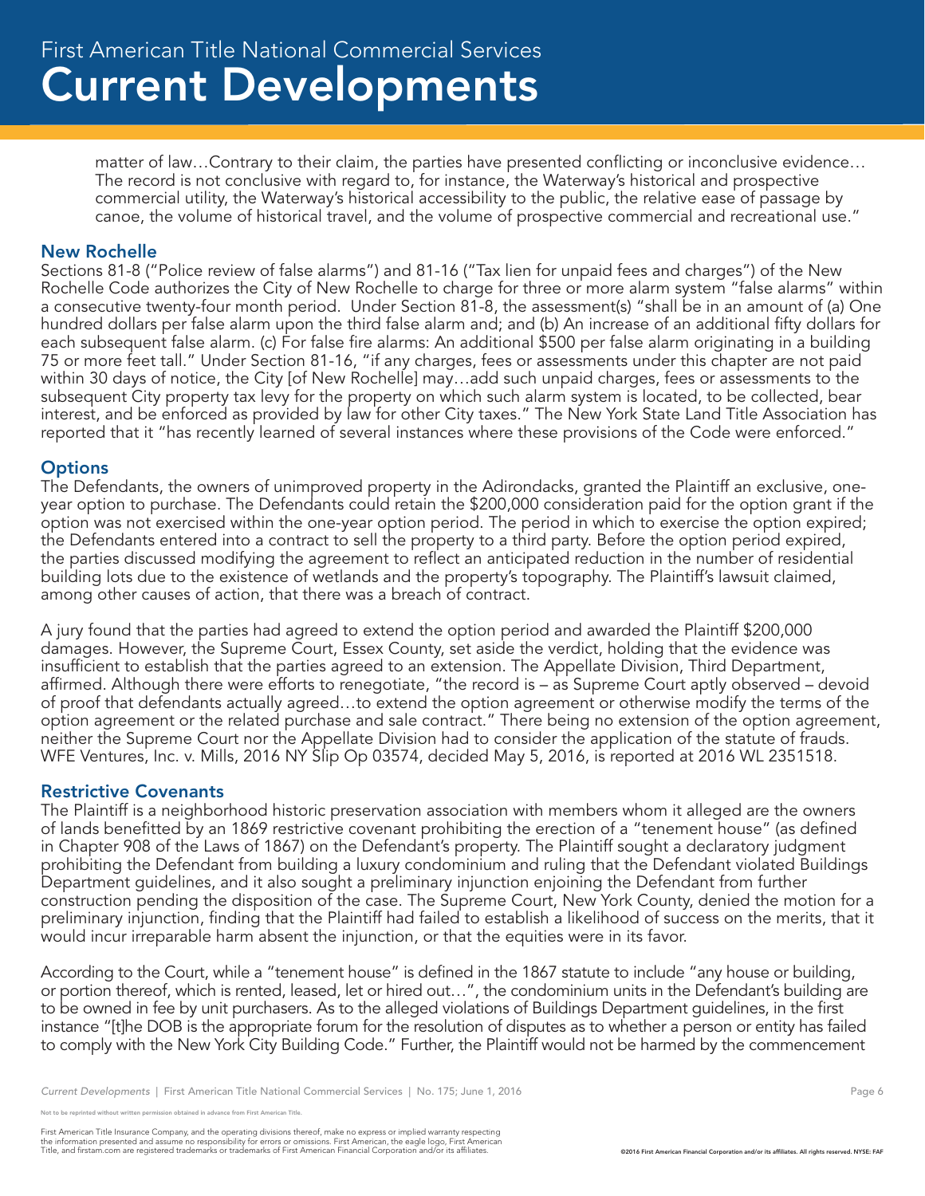matter of law…Contrary to their claim, the parties have presented conflicting or inconclusive evidence… The record is not conclusive with regard to, for instance, the Waterway's historical and prospective commercial utility, the Waterway's historical accessibility to the public, the relative ease of passage by canoe, the volume of historical travel, and the volume of prospective commercial and recreational use."

#### New Rochelle

Sections 81-8 ("Police review of false alarms") and 81-16 ("Tax lien for unpaid fees and charges") of the New Rochelle Code authorizes the City of New Rochelle to charge for three or more alarm system "false alarms" within a consecutive twenty-four month period. Under Section 81-8, the assessment(s) "shall be in an amount of (a) One hundred dollars per false alarm upon the third false alarm and; and (b) An increase of an additional fifty dollars for each subsequent false alarm. (c) For false fire alarms: An additional \$500 per false alarm originating in a building 75 or more feet tall." Under Section 81-16, "if any charges, fees or assessments under this chapter are not paid within 30 days of notice, the City [of New Rochelle] may…add such unpaid charges, fees or assessments to the subsequent City property tax levy for the property on which such alarm system is located, to be collected, bear interest, and be enforced as provided by law for other City taxes." The New York State Land Title Association has reported that it "has recently learned of several instances where these provisions of the Code were enforced."

#### **Options**

The Defendants, the owners of unimproved property in the Adirondacks, granted the Plaintiff an exclusive, oneyear option to purchase. The Defendants could retain the \$200,000 consideration paid for the option grant if the option was not exercised within the one-year option period. The period in which to exercise the option expired; the Defendants entered into a contract to sell the property to a third party. Before the option period expired, the parties discussed modifying the agreement to reflect an anticipated reduction in the number of residential building lots due to the existence of wetlands and the property's topography. The Plaintiff's lawsuit claimed, among other causes of action, that there was a breach of contract.

A jury found that the parties had agreed to extend the option period and awarded the Plaintiff \$200,000 damages. However, the Supreme Court, Essex County, set aside the verdict, holding that the evidence was insufficient to establish that the parties agreed to an extension. The Appellate Division, Third Department, affirmed. Although there were efforts to renegotiate, "the record is – as Supreme Court aptly observed – devoid of proof that defendants actually agreed…to extend the option agreement or otherwise modify the terms of the option agreement or the related purchase and sale contract." There being no extension of the option agreement, neither the Supreme Court nor the Appellate Division had to consider the application of the statute of frauds. WFE Ventures, Inc. v. Mills, 2016 NY Slip Op 03574, decided May 5, 2016, is reported at 2016 WL 2351518.

#### Restrictive Covenants

The Plaintiff is a neighborhood historic preservation association with members whom it alleged are the owners of lands benefitted by an 1869 restrictive covenant prohibiting the erection of a "tenement house" (as defined in Chapter 908 of the Laws of 1867) on the Defendant's property. The Plaintiff sought a declaratory judgment prohibiting the Defendant from building a luxury condominium and ruling that the Defendant violated Buildings Department guidelines, and it also sought a preliminary injunction enjoining the Defendant from further construction pending the disposition of the case. The Supreme Court, New York County, denied the motion for a preliminary injunction, finding that the Plaintiff had failed to establish a likelihood of success on the merits, that it would incur irreparable harm absent the injunction, or that the equities were in its favor.

According to the Court, while a "tenement house" is defined in the 1867 statute to include "any house or building, or portion thereof, which is rented, leased, let or hired out…", the condominium units in the Defendant's building are to be owned in fee by unit purchasers. As to the alleged violations of Buildings Department guidelines, in the first instance "[t]he DOB is the appropriate forum for the resolution of disputes as to whether a person or entity has failed to comply with the New York City Building Code." Further, the Plaintiff would not be harmed by the commencement

reprinted without written permission obtained in advance from First American Title.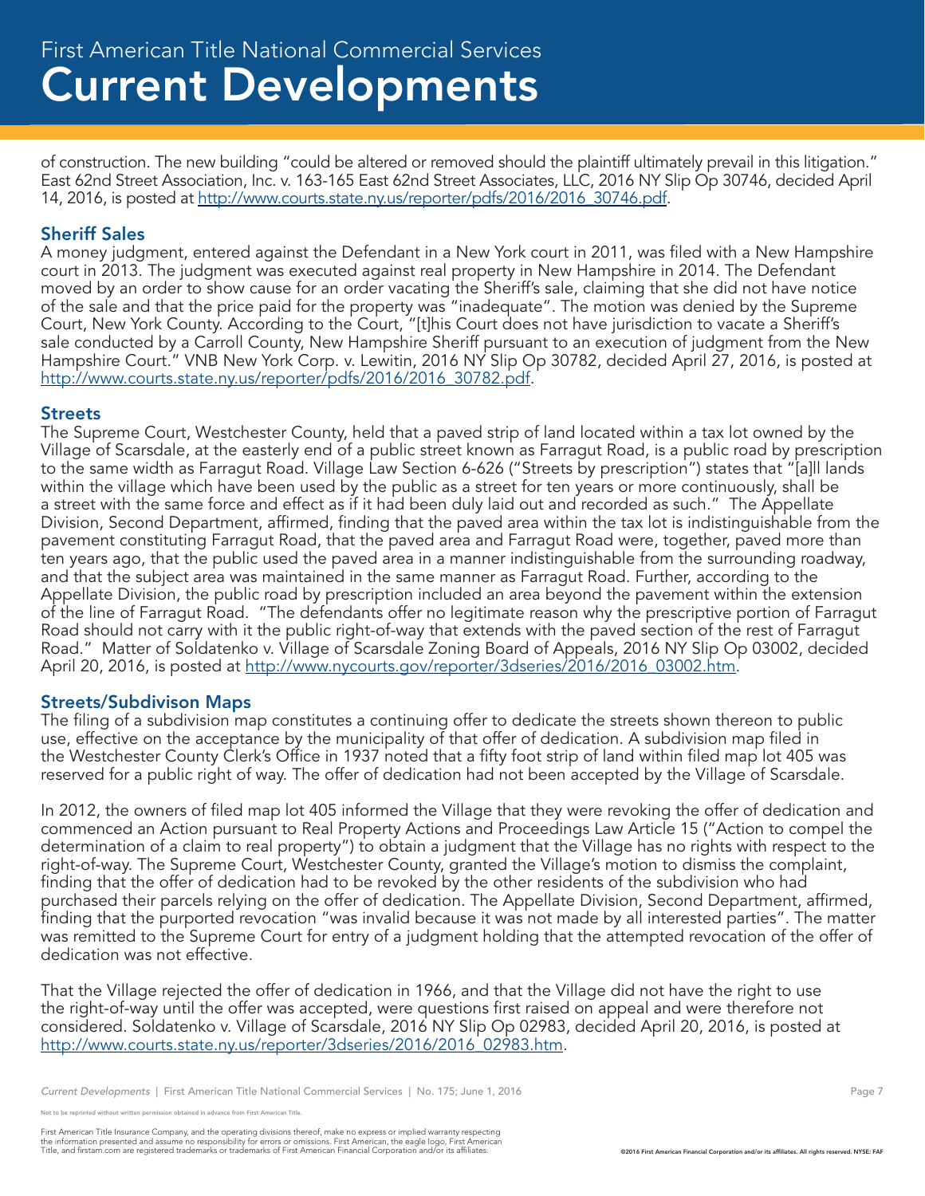of construction. The new building "could be altered or removed should the plaintiff ultimately prevail in this litigation." East 62nd Street Association, Inc. v. 163-165 East 62nd Street Associates, LLC, 2016 NY Slip Op 30746, decided April 14, 2016, is posted at http://www.courts.state.ny.us/reporter/pdfs/2016/2016\_30746.pdf.

# Sheriff Sales

A money judgment, entered against the Defendant in a New York court in 2011, was filed with a New Hampshire court in 2013. The judgment was executed against real property in New Hampshire in 2014. The Defendant moved by an order to show cause for an order vacating the Sheriff's sale, claiming that she did not have notice of the sale and that the price paid for the property was "inadequate". The motion was denied by the Supreme Court, New York County. According to the Court, "[t]his Court does not have jurisdiction to vacate a Sheriff's sale conducted by a Carroll County, New Hampshire Sheriff pursuant to an execution of judgment from the New Hampshire Court." VNB New York Corp. v. Lewitin, 2016 NY Slip Op 30782, decided April 27, 2016, is posted at http://www.courts.state.ny.us/reporter/pdfs/2016/2016\_30782.pdf.

# Streets

The Supreme Court, Westchester County, held that a paved strip of land located within a tax lot owned by the Village of Scarsdale, at the easterly end of a public street known as Farragut Road, is a public road by prescription to the same width as Farragut Road. Village Law Section 6-626 ("Streets by prescription") states that "[a]ll lands within the village which have been used by the public as a street for ten years or more continuously, shall be a street with the same force and effect as if it had been duly laid out and recorded as such." The Appellate Division, Second Department, affirmed, finding that the paved area within the tax lot is indistinguishable from the pavement constituting Farragut Road, that the paved area and Farragut Road were, together, paved more than ten years ago, that the public used the paved area in a manner indistinguishable from the surrounding roadway, and that the subject area was maintained in the same manner as Farragut Road. Further, according to the Appellate Division, the public road by prescription included an area beyond the pavement within the extension of the line of Farragut Road. "The defendants offer no legitimate reason why the prescriptive portion of Farragut Road should not carry with it the public right-of-way that extends with the paved section of the rest of Farragut Road." Matter of Soldatenko v. Village of Scarsdale Zoning Board of Appeals, 2016 NY Slip Op 03002, decided April 20, 2016, is posted at http://www.nycourts.gov/reporter/3dseries/2016/2016\_03002.htm.

# Streets/Subdivison Maps

The filing of a subdivision map constitutes a continuing offer to dedicate the streets shown thereon to public use, effective on the acceptance by the municipality of that offer of dedication. A subdivision map filed in the Westchester County Clerk's Office in 1937 noted that a fifty foot strip of land within filed map lot 405 was reserved for a public right of way. The offer of dedication had not been accepted by the Village of Scarsdale.

In 2012, the owners of filed map lot 405 informed the Village that they were revoking the offer of dedication and commenced an Action pursuant to Real Property Actions and Proceedings Law Article 15 ("Action to compel the determination of a claim to real property") to obtain a judgment that the Village has no rights with respect to the right-of-way. The Supreme Court, Westchester County, granted the Village's motion to dismiss the complaint, finding that the offer of dedication had to be revoked by the other residents of the subdivision who had purchased their parcels relying on the offer of dedication. The Appellate Division, Second Department, affirmed, finding that the purported revocation "was invalid because it was not made by all interested parties". The matter was remitted to the Supreme Court for entry of a judgment holding that the attempted revocation of the offer of dedication was not effective.

That the Village rejected the offer of dedication in 1966, and that the Village did not have the right to use the right-of-way until the offer was accepted, were questions first raised on appeal and were therefore not considered. Soldatenko v. Village of Scarsdale, 2016 NY Slip Op 02983, decided April 20, 2016, is posted at http://www.courts.state.ny.us/reporter/3dseries/2016/2016\_02983.htm.

*Current Developments* | First American Title National Commercial Services | No. 175; June 1, 2016 Page 7 Page 7

e reprinted without written permission obtained in advance from First American Title.